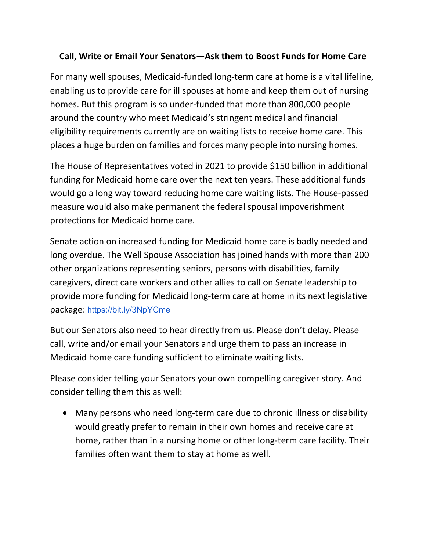## **Call, Write or Email Your Senators—Ask them to Boost Funds for Home Care**

For many well spouses, Medicaid-funded long-term care at home is a vital lifeline, enabling us to provide care for ill spouses at home and keep them out of nursing homes. But this program is so under-funded that more than 800,000 people around the country who meet Medicaid's stringent medical and financial eligibility requirements currently are on waiting lists to receive home care. This places a huge burden on families and forces many people into nursing homes.

The House of Representatives voted in 2021 to provide \$150 billion in additional funding for Medicaid home care over the next ten years. These additional funds would go a long way toward reducing home care waiting lists. The House-passed measure would also make permanent the federal spousal impoverishment protections for Medicaid home care.

Senate action on increased funding for Medicaid home care is badly needed and long overdue. The Well Spouse Association has joined hands with more than 200 other organizations representing seniors, persons with disabilities, family caregivers, direct care workers and other allies to call on Senate leadership to provide more funding for Medicaid long-term care at home in its next legislative package: <https://bit.ly/3NpYCme>

But our Senators also need to hear directly from us. Please don't delay. Please call, write and/or email your Senators and urge them to pass an increase in Medicaid home care funding sufficient to eliminate waiting lists.

Please consider telling your Senators your own compelling caregiver story. And consider telling them this as well:

• Many persons who need long-term care due to chronic illness or disability would greatly prefer to remain in their own homes and receive care at home, rather than in a nursing home or other long-term care facility. Their families often want them to stay at home as well.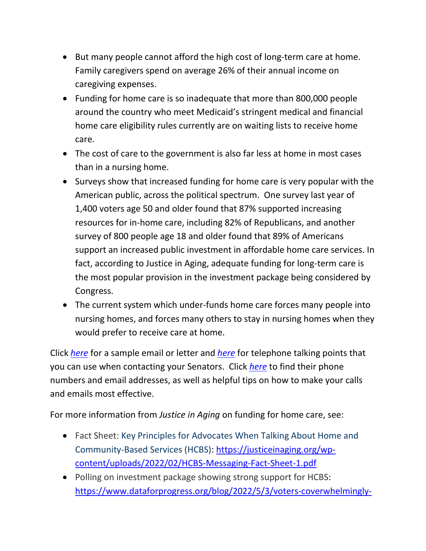- But many people cannot afford the high cost of long-term care at home. Family caregivers spend on average 26% of their annual income on caregiving expenses.
- Funding for home care is so inadequate that more than 800,000 people around the country who meet Medicaid's stringent medical and financial home care eligibility rules currently are on waiting lists to receive home care.
- The cost of care to the government is also far less at home in most cases than in a nursing home.
- Surveys show that increased funding for home care is very popular with the American public, across the political spectrum. One survey last year of 1,400 voters age 50 and older found that 87% supported increasing resources for in-home care, including 82% of Republicans, and another survey of 800 people age 18 and older found that 89% of Americans support an increased public investment in affordable home care services. In fact, according to Justice in Aging, adequate funding for long-term care is the most popular provision in the investment package being considered by Congress.
- The current system which under-funds home care forces many people into nursing homes, and forces many others to stay in nursing homes when they would prefer to receive care at home.

Click *[here](https://wellspouse.org/images/WSA%20home%20care%20samples%202.pdf)* for a sample email or letter and *[here](https://wellspouse.org/images/WSA%20Home%20Care%20talking%20points%203.pdf)* for telephone talking points that you can use when contacting your Senators. Click *[here](https://wellspouse.org/images/WSA%20home%20care%20tips%204.pdf)* to find their phone numbers and email addresses, as well as helpful tips on how to make your calls and emails most effective.

For more information from *Justice in Aging* on funding for home care, see:

- Fact Sheet: [Key Principles for Advocates When Talking About Home and](https://default.salsalabs.org/T0d719ec6-009e-4d1d-a777-a04fb5400fc5/6da743ef-e311-11e6-af71-0a37f6a00871)  [Community-Based Services \(HCBS\):](https://default.salsalabs.org/T0d719ec6-009e-4d1d-a777-a04fb5400fc5/6da743ef-e311-11e6-af71-0a37f6a00871) [https://justiceinaging.org/wp](https://justiceinaging.org/wp-content/uploads/2022/02/HCBS-Messaging-Fact-Sheet-1.pdf)[content/uploads/2022/02/HCBS-Messaging-Fact-Sheet-1.pdf](https://justiceinaging.org/wp-content/uploads/2022/02/HCBS-Messaging-Fact-Sheet-1.pdf)
- [Polling on investment package showing strong support for HCBS:](https://default.salsalabs.org/T9191cd7c-d634-4f09-8593-ba5d54628960/6da743ef-e311-11e6-af71-0a37f6a00871) [https://www.dataforprogress.org/blog/2022/5/3/voters-coverwhelmingly-](https://www.dataforprogress.org/blog/2022/5/3/voters-coverwhelmingly-support-bidens-investment-package?eType=EmailBlastContent&eId=fc36cb1b-ff3c-480f-bc39-690d7d7ba051)